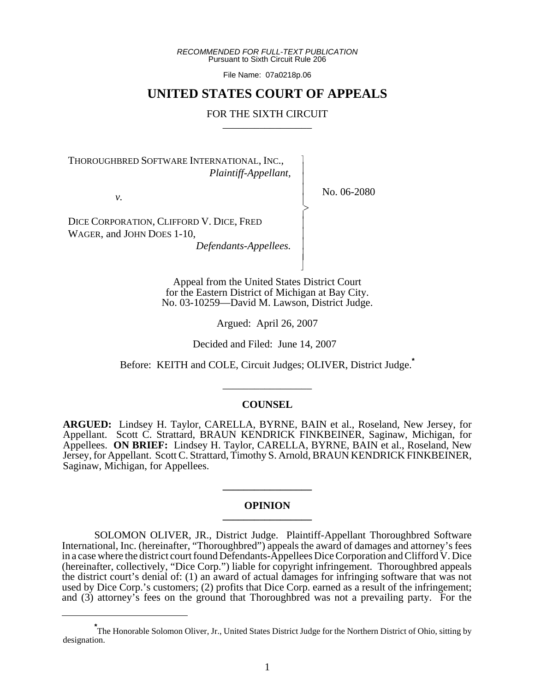*RECOMMENDED FOR FULL-TEXT PUBLICATION* Pursuant to Sixth Circuit Rule 206

File Name: 07a0218p.06

# **UNITED STATES COURT OF APPEALS**

## FOR THE SIXTH CIRCUIT

 $\overline{\phantom{a}}$ - - - -  $\succ$ |<br>|<br>| - - - - N

THOROUGHBRED SOFTWARE INTERNATIONAL, INC., *Plaintiff-Appellant,*

*v.*

No. 06-2080

DICE CORPORATION, CLIFFORD V. DICE, FRED WAGER, and JOHN DOES 1-10,

*Defendants-Appellees.*

Appeal from the United States District Court for the Eastern District of Michigan at Bay City. No. 03-10259—David M. Lawson, District Judge.

Argued: April 26, 2007

Decided and Filed: June 14, 2007

Before: KEITH and COLE, Circuit Judges; OLIVER, District Judge.**\***

## **COUNSEL**

\_\_\_\_\_\_\_\_\_\_\_\_\_\_\_\_\_

**ARGUED:** Lindsey H. Taylor, CARELLA, BYRNE, BAIN et al., Roseland, New Jersey, for Appellant. Scott C. Strattard, BRAUN KENDRICK FINKBEINER, Saginaw, Michigan, for Appellees. **ON BRIEF:** Lindsey H. Taylor, CARELLA, BYRNE, BAIN et al., Roseland, New Jersey, for Appellant. Scott C. Strattard, Timothy S. Arnold, BRAUN KENDRICK FINKBEINER, Saginaw, Michigan, for Appellees.

### **OPINION \_\_\_\_\_\_\_\_\_\_\_\_\_\_\_\_\_**

**\_\_\_\_\_\_\_\_\_\_\_\_\_\_\_\_\_**

SOLOMON OLIVER, JR., District Judge. Plaintiff-Appellant Thoroughbred Software International, Inc. (hereinafter, "Thoroughbred") appeals the award of damages and attorney's fees in a case where the district court found Defendants-Appellees Dice Corporation and Clifford V. Dice (hereinafter, collectively, "Dice Corp.") liable for copyright infringement. Thoroughbred appeals the district court's denial of: (1) an award of actual damages for infringing software that was not used by Dice Corp.'s customers; (2) profits that Dice Corp. earned as a result of the infringement; and (3) attorney's fees on the ground that Thoroughbred was not a prevailing party. For the

**<sup>\*</sup>** The Honorable Solomon Oliver, Jr., United States District Judge for the Northern District of Ohio, sitting by designation.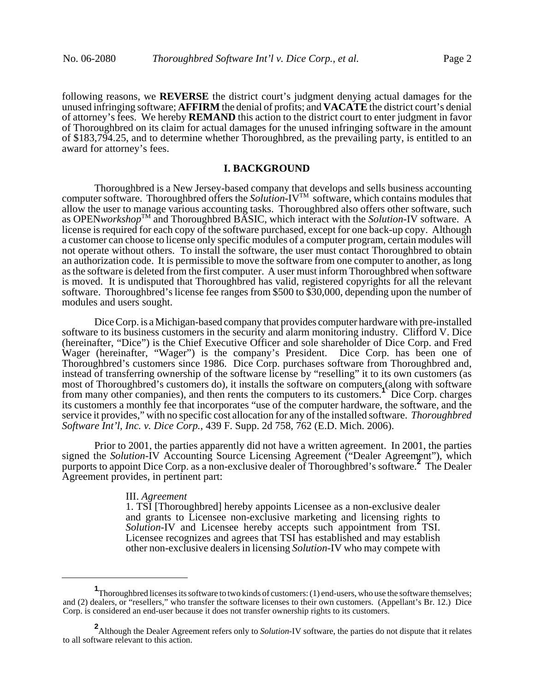following reasons, we **REVERSE** the district court's judgment denying actual damages for the unused infringing software; **AFFIRM** the denial of profits; and **VACATE** the district court's denial of attorney's fees. We hereby **REMAND** this action to the district court to enter judgment in favor of Thoroughbred on its claim for actual damages for the unused infringing software in the amount of \$183,794.25, and to determine whether Thoroughbred, as the prevailing party, is entitled to an award for attorney's fees.

## **I. BACKGROUND**

Thoroughbred is a New Jersey-based company that develops and sells business accounting computer software. Thoroughbred offers the *Solution*-IVTM software, which contains modules that allow the user to manage various accounting tasks. Thoroughbred also offers other software, such as OPEN*workshop*TM and Thoroughbred BASIC, which interact with the *Solution*-IV software. A license is required for each copy of the software purchased, except for one back-up copy. Although a customer can choose to license only specific modules of a computer program, certain modules will not operate without others. To install the software, the user must contact Thoroughbred to obtain an authorization code. It is permissible to move the software from one computer to another, as long as the software is deleted from the first computer. A user must inform Thoroughbred when software is moved. It is undisputed that Thoroughbred has valid, registered copyrights for all the relevant software. Thoroughbred's license fee ranges from \$500 to \$30,000, depending upon the number of modules and users sought.

Dice Corp. is a Michigan-based company that provides computer hardware with pre-installed software to its business customers in the security and alarm monitoring industry. Clifford V. Dice (hereinafter, "Dice") is the Chief Executive Officer and sole shareholder of Dice Corp. and Fred Wager (hereinafter, "Wager") is the company's President. Dice Corp. has been one of Thoroughbred's customers since 1986. Dice Corp. purchases software from Thoroughbred and, instead of transferring ownership of the software license by "reselling" it to its own customers (as most of Thoroughbred's customers do), it installs the software on computers (along with software from many other companies), and then rents the computers to its customers.**<sup>1</sup>** Dice Corp. charges its customers a monthly fee that incorporates "use of the computer hardware, the software, and the service it provides," with no specific cost allocation for any of the installed software. *Thoroughbred Software Int'l, Inc. v. Dice Corp.*, 439 F. Supp. 2d 758, 762 (E.D. Mich. 2006).

Prior to 2001, the parties apparently did not have a written agreement. In 2001, the parties signed the *Solution*-IV Accounting Source Licensing Agreement ("Dealer Agreement"), which purports to appoint Dice Corp. as a non-exclusive dealer of Thoroughbred's software.**<sup>2</sup>** The Dealer Agreement provides, in pertinent part:

#### III. *Agreement*

1. TSI [Thoroughbred] hereby appoints Licensee as a non-exclusive dealer and grants to Licensee non-exclusive marketing and licensing rights to *Solution*-IV and Licensee hereby accepts such appointment from TSI. Licensee recognizes and agrees that TSI has established and may establish other non-exclusive dealers in licensing *Solution*-IV who may compete with

**<sup>1</sup>** Thoroughbred licenses its software to two kinds of customers: (1) end-users, who use the software themselves; and (2) dealers, or "resellers," who transfer the software licenses to their own customers. (Appellant's Br. 12.) Dice Corp. is considered an end-user because it does not transfer ownership rights to its customers.

**<sup>2</sup>** Although the Dealer Agreement refers only to *Solution*-IV software, the parties do not dispute that it relates to all software relevant to this action.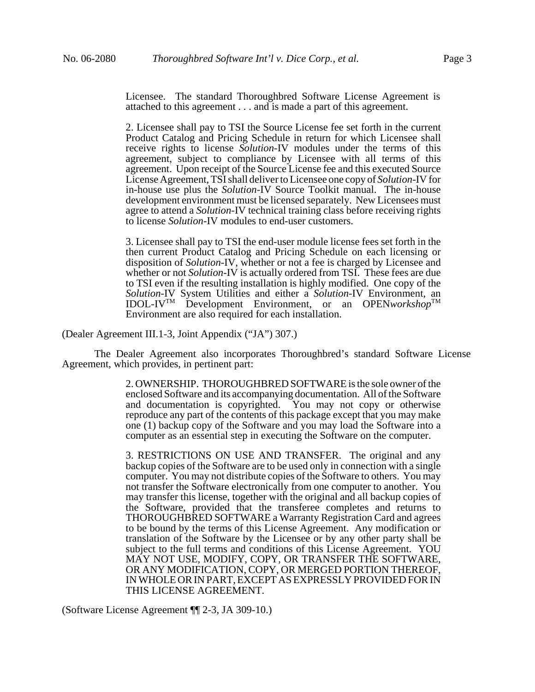Licensee. The standard Thoroughbred Software License Agreement is attached to this agreement . . . and is made a part of this agreement.

2. Licensee shall pay to TSI the Source License fee set forth in the current Product Catalog and Pricing Schedule in return for which Licensee shall receive rights to license *Solution*-IV modules under the terms of this agreement, subject to compliance by Licensee with all terms of this agreement. Upon receipt of the Source License fee and this executed Source License Agreement, TSI shall deliver to Licensee one copy of *Solution*-IV for in-house use plus the *Solution*-IV Source Toolkit manual. The in-house development environment must be licensed separately. New Licensees must agree to attend a *Solution*-IV technical training class before receiving rights to license *Solution*-IV modules to end-user customers.

3. Licensee shall pay to TSI the end-user module license fees set forth in the then current Product Catalog and Pricing Schedule on each licensing or disposition of *Solution*-IV, whether or not a fee is charged by Licensee and whether or not *Solution*-IV is actually ordered from TSI. These fees are due to TSI even if the resulting installation is highly modified. One copy of the *Solution*-IV System Utilities and either a *Solution*-IV Environment, an IDOL-IV<sup>TM</sup> Development Environment, or an OPEN*workshop*<sup>TM</sup> Environment are also required for each installation.

(Dealer Agreement III.1-3, Joint Appendix ("JA") 307.)

The Dealer Agreement also incorporates Thoroughbred's standard Software License Agreement, which provides, in pertinent part:

> 2. OWNERSHIP. THOROUGHBRED SOFTWARE is the sole owner of the enclosed Software and its accompanying documentation. All of the Software and documentation is copyrighted. You may not copy or otherwise reproduce any part of the contents of this package except that you may make one (1) backup copy of the Software and you may load the Software into a computer as an essential step in executing the Software on the computer.

> 3. RESTRICTIONS ON USE AND TRANSFER. The original and any backup copies of the Software are to be used only in connection with a single computer. You may not distribute copies of the Software to others. You may not transfer the Software electronically from one computer to another. You may transfer this license, together with the original and all backup copies of the Software, provided that the transferee completes and returns to THOROUGHBRED SOFTWARE a Warranty Registration Card and agrees to be bound by the terms of this License Agreement. Any modification or translation of the Software by the Licensee or by any other party shall be subject to the full terms and conditions of this License Agreement. YOU MAY NOT USE, MODIFY, COPY, OR TRANSFER THE SOFTWARE, OR ANY MODIFICATION, COPY, OR MERGED PORTION THEREOF, IN WHOLE OR IN PART, EXCEPT AS EXPRESSLY PROVIDED FOR IN THIS LICENSE AGREEMENT.

(Software License Agreement ¶¶ 2-3, JA 309-10.)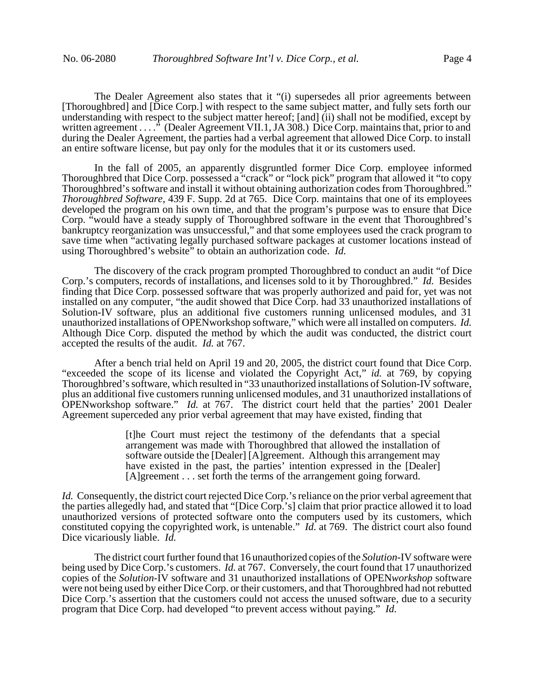The Dealer Agreement also states that it "(i) supersedes all prior agreements between [Thoroughbred] and [Dice Corp.] with respect to the same subject matter, and fully sets forth our understanding with respect to the subject matter hereof; [and] (ii) shall not be modified, except by written agreement . . . ." (Dealer Agreement VII.1, JA 308.) Dice Corp. maintains that, prior to and during the Dealer Agreement, the parties had a verbal agreement that allowed Dice Corp. to install an entire software license, but pay only for the modules that it or its customers used.

In the fall of 2005, an apparently disgruntled former Dice Corp. employee informed Thoroughbred that Dice Corp. possessed a "crack" or "lock pick" program that allowed it "to copy Thoroughbred's software and install it without obtaining authorization codes from Thoroughbred." *Thoroughbred Software*, 439 F. Supp. 2d at 765. Dice Corp. maintains that one of its employees developed the program on his own time, and that the program's purpose was to ensure that Dice Corp. "would have a steady supply of Thoroughbred software in the event that Thoroughbred's bankruptcy reorganization was unsuccessful," and that some employees used the crack program to save time when "activating legally purchased software packages at customer locations instead of using Thoroughbred's website" to obtain an authorization code. *Id.*

The discovery of the crack program prompted Thoroughbred to conduct an audit "of Dice Corp.'s computers, records of installations, and licenses sold to it by Thoroughbred." *Id.* Besides finding that Dice Corp. possessed software that was properly authorized and paid for, yet was not installed on any computer, "the audit showed that Dice Corp. had 33 unauthorized installations of Solution-IV software, plus an additional five customers running unlicensed modules, and 31 unauthorized installations of OPENworkshop software," which were all installed on computers. *Id.* Although Dice Corp. disputed the method by which the audit was conducted, the district court accepted the results of the audit. *Id.* at 767.

After a bench trial held on April 19 and 20, 2005, the district court found that Dice Corp. "exceeded the scope of its license and violated the Copyright Act," *id.* at 769, by copying Thoroughbred's software, which resulted in "33 unauthorized installations of Solution-IV software, plus an additional five customers running unlicensed modules, and 31 unauthorized installations of OPENworkshop software." *Id.* at 767. The district court held that the parties' 2001 Dealer Agreement superceded any prior verbal agreement that may have existed, finding that

> [t]he Court must reject the testimony of the defendants that a special arrangement was made with Thoroughbred that allowed the installation of software outside the [Dealer] [A]greement. Although this arrangement may have existed in the past, the parties' intention expressed in the [Dealer] [A]greement . . . set forth the terms of the arrangement going forward.

*Id.* Consequently, the district court rejected Dice Corp.'s reliance on the prior verbal agreement that the parties allegedly had, and stated that "[Dice Corp.'s] claim that prior practice allowed it to load unauthorized versions of protected software onto the computers used by its customers, which constituted copying the copyrighted work, is untenable." *Id.* at 769. The district court also found Dice vicariously liable. *Id.*

The district court further found that 16 unauthorized copies of the *Solution*-IV software were being used by Dice Corp.'s customers. *Id.* at 767. Conversely, the court found that 17 unauthorized copies of the *Solution*-IV software and 31 unauthorized installations of OPEN*workshop* software were not being used by either Dice Corp. or their customers, and that Thoroughbred had not rebutted Dice Corp.'s assertion that the customers could not access the unused software, due to a security program that Dice Corp. had developed "to prevent access without paying." *Id.*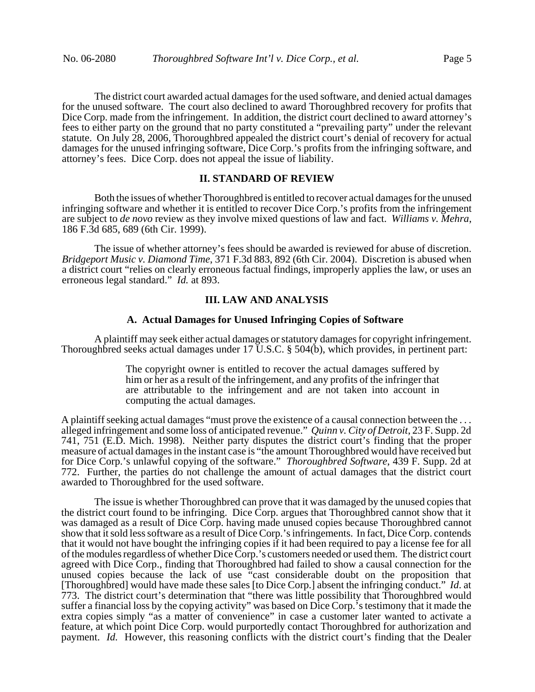The district court awarded actual damages for the used software, and denied actual damages for the unused software. The court also declined to award Thoroughbred recovery for profits that Dice Corp. made from the infringement. In addition, the district court declined to award attorney's fees to either party on the ground that no party constituted a "prevailing party" under the relevant statute. On July 28, 2006, Thoroughbred appealed the district court's denial of recovery for actual damages for the unused infringing software, Dice Corp.'s profits from the infringing software, and attorney's fees. Dice Corp. does not appeal the issue of liability.

## **II. STANDARD OF REVIEW**

Both the issues of whether Thoroughbred is entitled to recover actual damages for the unused infringing software and whether it is entitled to recover Dice Corp.'s profits from the infringement are subject to *de novo* review as they involve mixed questions of law and fact. *Williams v. Mehra*, 186 F.3d 685, 689 (6th Cir. 1999).

The issue of whether attorney's fees should be awarded is reviewed for abuse of discretion. *Bridgeport Music v. Diamond Time*, 371 F.3d 883, 892 (6th Cir. 2004). Discretion is abused when a district court "relies on clearly erroneous factual findings, improperly applies the law, or uses an erroneous legal standard." *Id.* at 893.

#### **III. LAW AND ANALYSIS**

## **A. Actual Damages for Unused Infringing Copies of Software**

A plaintiff may seek either actual damages or statutory damages for copyright infringement. Thoroughbred seeks actual damages under 17 U.S.C. § 504(b), which provides, in pertinent part:

> The copyright owner is entitled to recover the actual damages suffered by him or her as a result of the infringement, and any profits of the infringer that are attributable to the infringement and are not taken into account in computing the actual damages.

A plaintiff seeking actual damages "must prove the existence of a causal connection between the . . . alleged infringement and some loss of anticipated revenue." *Quinn v. City of Detroit*, 23 F. Supp. 2d 741, 751 (E.D. Mich. 1998). Neither party disputes the district court's finding that the proper measure of actual damages in the instant case is "the amount Thoroughbred would have received but for Dice Corp.'s unlawful copying of the software." *Thoroughbred Software*, 439 F. Supp. 2d at 772. Further, the parties do not challenge the amount of actual damages that the district court awarded to Thoroughbred for the used software.

The issue is whether Thoroughbred can prove that it was damaged by the unused copies that the district court found to be infringing. Dice Corp. argues that Thoroughbred cannot show that it was damaged as a result of Dice Corp. having made unused copies because Thoroughbred cannot show that it sold less software as a result of Dice Corp.'s infringements. In fact, Dice Corp. contends that it would not have bought the infringing copies if it had been required to pay a license fee for all of the modules regardless of whether Dice Corp.'s customers needed or used them. The district court agreed with Dice Corp., finding that Thoroughbred had failed to show a causal connection for the unused copies because the lack of use "cast considerable doubt on the proposition that [Thoroughbred] would have made these sales [to Dice Corp.] absent the infringing conduct." *Id*. at 773. The district court's determination that "there was little possibility that Thoroughbred would suffer a financial loss by the copying activity" was based on Dice Corp.'s testimony that it made the extra copies simply "as a matter of convenience" in case a customer later wanted to activate a feature, at which point Dice Corp. would purportedly contact Thoroughbred for authorization and payment. *Id.* However, this reasoning conflicts with the district court's finding that the Dealer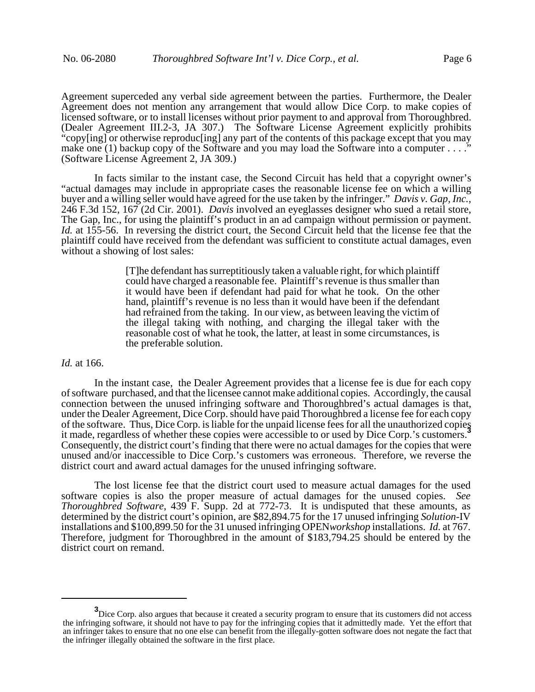Agreement superceded any verbal side agreement between the parties. Furthermore, the Dealer Agreement does not mention any arrangement that would allow Dice Corp. to make copies of licensed software, or to install licenses without prior payment to and approval from Thoroughbred. (Dealer Agreement III.2-3, JA 307.) The Software License Agreement explicitly prohibits "copy[ing] or otherwise reproduc[ing] any part of the contents of this package except that you may make one (1) backup copy of the Software and you may load the Software into a computer . . . ." (Software License Agreement 2, JA 309.)

In facts similar to the instant case, the Second Circuit has held that a copyright owner's "actual damages may include in appropriate cases the reasonable license fee on which a willing buyer and a willing seller would have agreed for the use taken by the infringer." *Davis v. Gap, Inc.*, 246 F.3d 152, 167 (2d Cir. 2001). *Davis* involved an eyeglasses designer who sued a retail store, The Gap, Inc., for using the plaintiff's product in an ad campaign without permission or payment. *Id.* at 155-56. In reversing the district court, the Second Circuit held that the license fee that the plaintiff could have received from the defendant was sufficient to constitute actual damages, even without a showing of lost sales:

> [T]he defendant has surreptitiously taken a valuable right, for which plaintiff could have charged a reasonable fee. Plaintiff's revenue is thus smaller than it would have been if defendant had paid for what he took. On the other hand, plaintiff's revenue is no less than it would have been if the defendant had refrained from the taking. In our view, as between leaving the victim of the illegal taking with nothing, and charging the illegal taker with the reasonable cost of what he took, the latter, at least in some circumstances, is the preferable solution.

#### *Id.* at 166.

In the instant case, the Dealer Agreement provides that a license fee is due for each copy of software purchased, and that the licensee cannot make additional copies. Accordingly, the causal connection between the unused infringing software and Thoroughbred's actual damages is that, under the Dealer Agreement, Dice Corp. should have paid Thoroughbred a license fee for each copy of the software. Thus, Dice Corp. is liable for the unpaid license fees for all the unauthorized copies it made, regardless of whether these copies were accessible to or used by Dice Corp.'s customers.**<sup>3</sup>** Consequently, the district court's finding that there were no actual damages for the copies that were unused and/or inaccessible to Dice Corp.'s customers was erroneous. Therefore, we reverse the district court and award actual damages for the unused infringing software.

The lost license fee that the district court used to measure actual damages for the used software copies is also the proper measure of actual damages for the unused copies. *See Thoroughbred Software*, 439 F. Supp. 2d at 772-73. It is undisputed that these amounts, as determined by the district court's opinion, are \$82,894.75 for the 17 unused infringing *Solution*-IV installations and \$100,899.50 for the 31 unused infringing OPEN*workshop* installations. *Id.* at 767. Therefore, judgment for Thoroughbred in the amount of \$183,794.25 should be entered by the district court on remand.

**<sup>3</sup>**<br>Dice Corp. also argues that because it created a security program to ensure that its customers did not access the infringing software, it should not have to pay for the infringing copies that it admittedly made. Yet the effort that an infringer takes to ensure that no one else can benefit from the illegally-gotten software does not negate the fact that the infringer illegally obtained the software in the first place.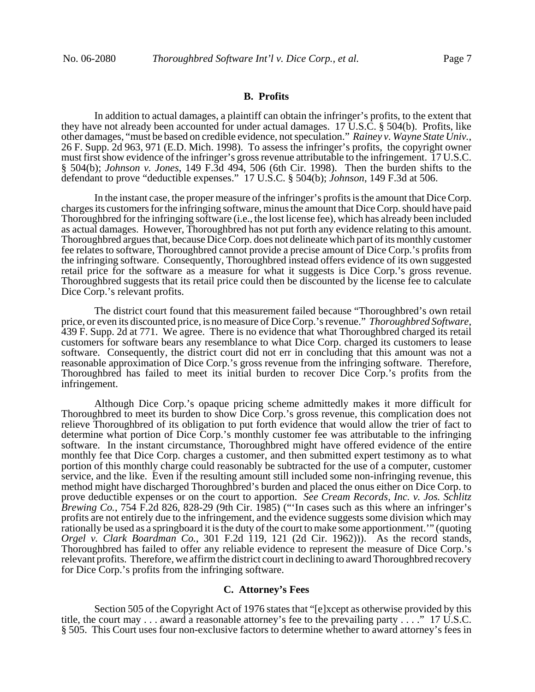## **B. Profits**

In addition to actual damages, a plaintiff can obtain the infringer's profits, to the extent that they have not already been accounted for under actual damages. 17 U.S.C. § 504(b). Profits, like other damages, "must be based on credible evidence, not speculation." *Rainey v. Wayne State Univ.*, 26 F. Supp. 2d 963, 971 (E.D. Mich. 1998). To assess the infringer's profits, the copyright owner must first show evidence of the infringer's gross revenue attributable to the infringement. 17 U.S.C. § 504(b); *Johnson v. Jones*, 149 F.3d 494, 506 (6th Cir. 1998). Then the burden shifts to the defendant to prove "deductible expenses." 17 U.S.C. § 504(b); *Johnson*, 149 F.3d at 506.

In the instant case, the proper measure of the infringer's profits is the amount that Dice Corp. charges its customers for the infringing software, minus the amount that Dice Corp. should have paid Thoroughbred for the infringing software (i.e., the lost license fee), which has already been included as actual damages. However, Thoroughbred has not put forth any evidence relating to this amount. Thoroughbred argues that, because Dice Corp. does not delineate which part of its monthly customer fee relates to software, Thoroughbred cannot provide a precise amount of Dice Corp.'s profits from the infringing software. Consequently, Thoroughbred instead offers evidence of its own suggested retail price for the software as a measure for what it suggests is Dice Corp.'s gross revenue. Thoroughbred suggests that its retail price could then be discounted by the license fee to calculate Dice Corp.'s relevant profits.

The district court found that this measurement failed because "Thoroughbred's own retail price, or even its discounted price, is no measure of Dice Corp.'s revenue." *Thoroughbred Software*, 439 F. Supp. 2d at 771. We agree. There is no evidence that what Thoroughbred charged its retail customers for software bears any resemblance to what Dice Corp. charged its customers to lease software. Consequently, the district court did not err in concluding that this amount was not a reasonable approximation of Dice Corp.'s gross revenue from the infringing software. Therefore, Thoroughbred has failed to meet its initial burden to recover Dice Corp.'s profits from the infringement.

Although Dice Corp.'s opaque pricing scheme admittedly makes it more difficult for Thoroughbred to meet its burden to show Dice Corp.'s gross revenue, this complication does not relieve Thoroughbred of its obligation to put forth evidence that would allow the trier of fact to determine what portion of Dice Corp.'s monthly customer fee was attributable to the infringing software. In the instant circumstance, Thoroughbred might have offered evidence of the entire monthly fee that Dice Corp. charges a customer, and then submitted expert testimony as to what portion of this monthly charge could reasonably be subtracted for the use of a computer, customer service, and the like. Even if the resulting amount still included some non-infringing revenue, this method might have discharged Thoroughbred's burden and placed the onus either on Dice Corp. to prove deductible expenses or on the court to apportion. *See Cream Records, Inc. v. Jos. Schlitz Brewing Co.*, 754 F.2d 826, 828-29 (9th Cir. 1985) ("'In cases such as this where an infringer's profits are not entirely due to the infringement, and the evidence suggests some division which may rationally be used as a springboard it is the duty of the court to make some apportionment.'" (quoting *Orgel v. Clark Boardman Co.*, 301 F.2d 119, 121 (2d Cir. 1962))). As the record stands, Thoroughbred has failed to offer any reliable evidence to represent the measure of Dice Corp.'s relevant profits. Therefore, we affirm the district court in declining to award Thoroughbred recovery for Dice Corp.'s profits from the infringing software.

#### **C. Attorney's Fees**

Section 505 of the Copyright Act of 1976 states that "[e]xcept as otherwise provided by this title, the court may . . . award a reasonable attorney's fee to the prevailing party . . . ." 17 U.S.C. § 505. This Court uses four non-exclusive factors to determine whether to award attorney's fees in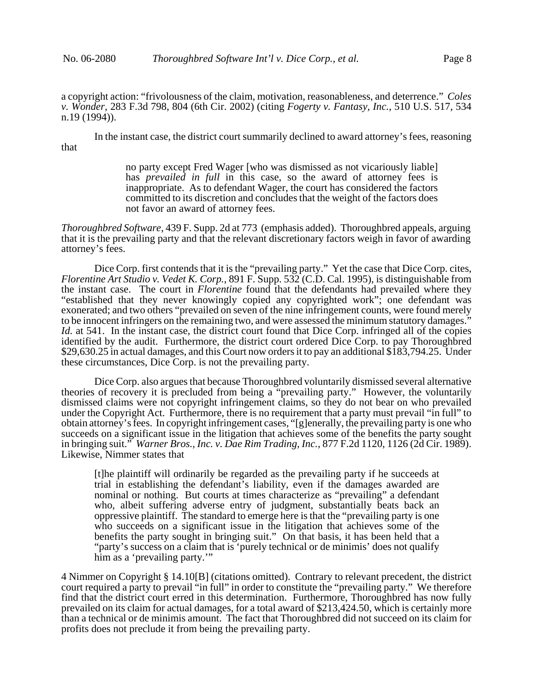a copyright action: "frivolousness of the claim, motivation, reasonableness, and deterrence." *Coles v. Wonder*, 283 F.3d 798, 804 (6th Cir. 2002) (citing *Fogerty v. Fantasy, Inc.*, 510 U.S. 517, 534 n.19 (1994)).

In the instant case, the district court summarily declined to award attorney's fees, reasoning that

> no party except Fred Wager [who was dismissed as not vicariously liable] has *prevailed in full* in this case, so the award of attorney fees is inappropriate. As to defendant Wager, the court has considered the factors committed to its discretion and concludes that the weight of the factors does not favor an award of attorney fees.

*Thoroughbred Software*, 439 F. Supp. 2d at 773 (emphasis added). Thoroughbred appeals, arguing that it is the prevailing party and that the relevant discretionary factors weigh in favor of awarding attorney's fees.

Dice Corp. first contends that it is the "prevailing party." Yet the case that Dice Corp. cites, *Florentine Art Studio v. Vedet K. Corp.*, 891 F. Supp. 532 (C.D. Cal. 1995), is distinguishable from the instant case. The court in *Florentine* found that the defendants had prevailed where they "established that they never knowingly copied any copyrighted work"; one defendant was exonerated; and two others "prevailed on seven of the nine infringement counts, were found merely to be innocent infringers on the remaining two, and were assessed the minimum statutory damages." *Id.* at 541. In the instant case, the district court found that Dice Corp. infringed all of the copies identified by the audit. Furthermore, the district court ordered Dice Corp. to pay Thoroughbred \$29,630.25 in actual damages, and this Court now orders it to pay an additional \$183,794.25. Under these circumstances, Dice Corp. is not the prevailing party.

Dice Corp. also argues that because Thoroughbred voluntarily dismissed several alternative theories of recovery it is precluded from being a "prevailing party." However, the voluntarily dismissed claims were not copyright infringement claims, so they do not bear on who prevailed under the Copyright Act. Furthermore, there is no requirement that a party must prevail "in full" to obtain attorney's fees. In copyright infringement cases, "[g]enerally, the prevailing party is one who succeeds on a significant issue in the litigation that achieves some of the benefits the party sought in bringing suit." *Warner Bros., Inc. v. Dae Rim Trading, Inc.*, 877 F.2d 1120, 1126 (2d Cir. 1989). Likewise, Nimmer states that

[t]he plaintiff will ordinarily be regarded as the prevailing party if he succeeds at trial in establishing the defendant's liability, even if the damages awarded are nominal or nothing. But courts at times characterize as "prevailing" a defendant who, albeit suffering adverse entry of judgment, substantially beats back an oppressive plaintiff. The standard to emerge here is that the "prevailing party is one who succeeds on a significant issue in the litigation that achieves some of the benefits the party sought in bringing suit." On that basis, it has been held that a "party's success on a claim that is 'purely technical or de minimis' does not qualify him as a 'prevailing party.'"

4 Nimmer on Copyright § 14.10[B] (citations omitted). Contrary to relevant precedent, the district court required a party to prevail "in full" in order to constitute the "prevailing party." We therefore find that the district court erred in this determination. Furthermore, Thoroughbred has now fully prevailed on its claim for actual damages, for a total award of \$213,424.50, which is certainly more than a technical or de minimis amount. The fact that Thoroughbred did not succeed on its claim for profits does not preclude it from being the prevailing party.